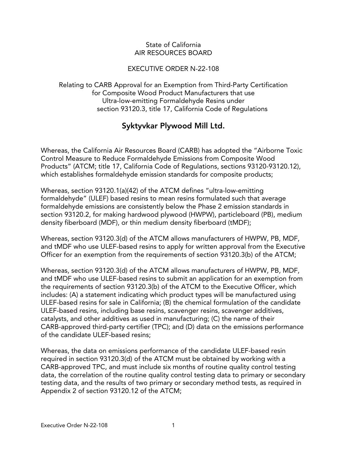#### State of California AIR RESOURCES BOARD

#### EXECUTIVE ORDER N-22-108

Relating to CARB Approval for an Exemption from Third-Party Certification for Composite Wood Product Manufacturers that use Ultra-low-emitting Formaldehyde Resins under section 93120.3, title 17, California Code of Regulations

# Syktyvkar Plywood Mill Ltd.

Whereas, the California Air Resources Board (CARB) has adopted the "Airborne Toxic Control Measure to Reduce Formaldehyde Emissions from Composite Wood Products" (ATCM; title 17, California Code of Regulations, sections 93120-93120.12), which establishes formaldehyde emission standards for composite products;

Whereas, section 93120.1(a)(42) of the ATCM defines "ultra-low-emitting formaldehyde" (ULEF) based resins to mean resins formulated such that average formaldehyde emissions are consistently below the Phase 2 emission standards in section 93120.2, for making hardwood plywood (HWPW), particleboard (PB), medium density fiberboard (MDF), or thin medium density fiberboard (tMDF);

Whereas, section 93120.3(d) of the ATCM allows manufacturers of HWPW, PB, MDF, and tMDF who use ULEF-based resins to apply for written approval from the Executive Officer for an exemption from the requirements of section 93120.3(b) of the ATCM;

Whereas, section 93120.3(d) of the ATCM allows manufacturers of HWPW, PB, MDF, and tMDF who use ULEF-based resins to submit an application for an exemption from the requirements of section 93120.3(b) of the ATCM to the Executive Officer, which includes: (A) a statement indicating which product types will be manufactured using ULEF-based resins for sale in California; (B) the chemical formulation of the candidate ULEF-based resins, including base resins, scavenger resins, scavenger additives, catalysts, and other additives as used in manufacturing; (C) the name of their CARB-approved third-party certifier (TPC); and (D) data on the emissions performance of the candidate ULEF-based resins;

Whereas, the data on emissions performance of the candidate ULEF-based resin required in section 93120.3(d) of the ATCM must be obtained by working with a CARB-approved TPC, and must include six months of routine quality control testing data, the correlation of the routine quality control testing data to primary or secondary testing data, and the results of two primary or secondary method tests, as required in Appendix 2 of section 93120.12 of the ATCM;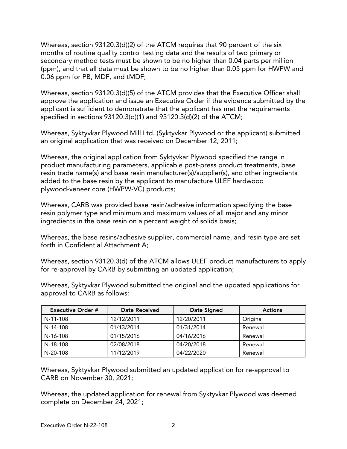Whereas, section 93120.3(d)(2) of the ATCM requires that 90 percent of the six months of routine quality control testing data and the results of two primary or secondary method tests must be shown to be no higher than 0.04 parts per million (ppm), and that all data must be shown to be no higher than 0.05 ppm for HWPW and 0.06 ppm for PB, MDF, and tMDF;

Whereas, section 93120.3(d)(5) of the ATCM provides that the Executive Officer shall approve the application and issue an Executive Order if the evidence submitted by the applicant is sufficient to demonstrate that the applicant has met the requirements specified in sections 93120.3(d)(1) and 93120.3(d)(2) of the ATCM;

Whereas, Syktyvkar Plywood Mill Ltd. (Syktyvkar Plywood or the applicant) submitted an original application that was received on December 12, 2011;

Whereas, the original application from Syktyvkar Plywood specified the range in product manufacturing parameters, applicable post-press product treatments, base resin trade name(s) and base resin manufacturer(s)/supplier(s), and other ingredients added to the base resin by the applicant to manufacture ULEF hardwood plywood-veneer core (HWPW-VC) products;

Whereas, CARB was provided base resin/adhesive information specifying the base resin polymer type and minimum and maximum values of all major and any minor ingredients in the base resin on a percent weight of solids basis;

Whereas, the base resins/adhesive supplier, commercial name, and resin type are set forth in Confidential Attachment A;

Whereas, section 93120.3(d) of the ATCM allows ULEF product manufacturers to apply for re-approval by CARB by submitting an updated application;

Whereas, Syktyvkar Plywood submitted the original and the updated applications for approval to CARB as follows:

| <b>Executive Order #</b> | Date Received | Date Signed | <b>Actions</b> |
|--------------------------|---------------|-------------|----------------|
| N-11-108                 | 12/12/2011    | 12/20/2011  | Original       |
| N-14-108                 | 01/13/2014    | 01/31/2014  | Renewal        |
| N-16-108                 | 01/15/2016    | 04/16/2016  | Renewal        |
| N-18-108                 | 02/08/2018    | 04/20/2018  | Renewal        |
| N-20-108                 | 11/12/2019    | 04/22/2020  | Renewal        |

Whereas, Syktyvkar Plywood submitted an updated application for re-approval to CARB on November 30, 2021;

Whereas, the updated application for renewal from Syktyvkar Plywood was deemed complete on December 24, 2021;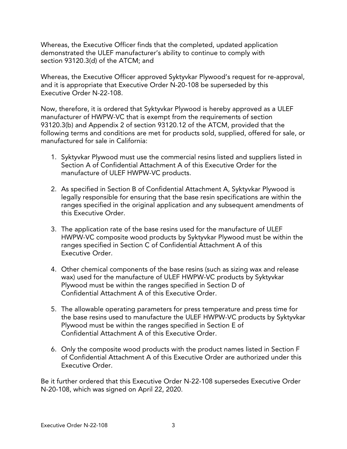Whereas, the Executive Officer finds that the completed, updated application demonstrated the ULEF manufacturer's ability to continue to comply with section 93120.3(d) of the ATCM; and

Whereas, the Executive Officer approved Syktyvkar Plywood's request for re-approval, and it is appropriate that Executive Order N-20-108 be superseded by this Executive Order N-22-108.

Now, therefore, it is ordered that Syktyvkar Plywood is hereby approved as a ULEF manufacturer of HWPW-VC that is exempt from the requirements of section 93120.3(b) and Appendix 2 of section 93120.12 of the ATCM, provided that the following terms and conditions are met for products sold, supplied, offered for sale, or manufactured for sale in California:

- 1. Syktyvkar Plywood must use the commercial resins listed and suppliers listed in Section A of Confidential Attachment A of this Executive Order for the manufacture of ULEF HWPW-VC products.
- 2. As specified in Section B of Confidential Attachment A, Syktyvkar Plywood is legally responsible for ensuring that the base resin specifications are within the ranges specified in the original application and any subsequent amendments of this Executive Order.
- 3. The application rate of the base resins used for the manufacture of ULEF HWPW-VC composite wood products by Syktyvkar Plywood must be within the ranges specified in Section C of Confidential Attachment A of this Executive Order.
- 4. Other chemical components of the base resins (such as sizing wax and release wax) used for the manufacture of ULEF HWPW-VC products by Syktyvkar Plywood must be within the ranges specified in Section D of Confidential Attachment A of this Executive Order.
- 5. The allowable operating parameters for press temperature and press time for the base resins used to manufacture the ULEF HWPW-VC products by Syktyvkar Plywood must be within the ranges specified in Section E of Confidential Attachment A of this Executive Order.
- 6. Only the composite wood products with the product names listed in Section F of Confidential Attachment A of this Executive Order are authorized under this Executive Order.

Be it further ordered that this Executive Order N-22-108 supersedes Executive Order N-20-108, which was signed on April 22, 2020.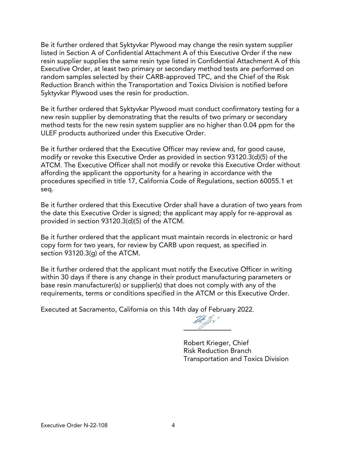Be it further ordered that Syktyvkar Plywood may change the resin system supplier listed in Section A of Confidential Attachment A of this Executive Order if the new resin supplier supplies the same resin type listed in Confidential Attachment A of this Executive Order, at least two primary or secondary method tests are performed on random samples selected by their CARB-approved TPC, and the Chief of the Risk Reduction Branch within the Transportation and Toxics Division is notified before Syktyvkar Plywood uses the resin for production.

Be it further ordered that Syktyvkar Plywood must conduct confirmatory testing for a new resin supplier by demonstrating that the results of two primary or secondary method tests for the new resin system supplier are no higher than 0.04 ppm for the ULEF products authorized under this Executive Order.

Be it further ordered that the Executive Officer may review and, for good cause, modify or revoke this Executive Order as provided in section 93120.3(d)(5) of the ATCM. The Executive Officer shall not modify or revoke this Executive Order without affording the applicant the opportunity for a hearing in accordance with the procedures specified in title 17, California Code of Regulations, section 60055.1 et seq.

Be it further ordered that this Executive Order shall have a duration of two years from the date this Executive Order is signed; the applicant may apply for re-approval as provided in section 93120.3(d)(5) of the ATCM.

Be it further ordered that the applicant must maintain records in electronic or hard copy form for two years, for review by CARB upon request, as specified in section 93120.3(g) of the ATCM.

Be it further ordered that the applicant must notify the Executive Officer in writing within 30 days if there is any change in their product manufacturing parameters or base resin manufacturer(s) or supplier(s) that does not comply with any of the requirements, terms or conditions specified in the ATCM or this Executive Order.

Executed at Sacramento, California on this 14th day of February 2022.

The J  $\gamma'$ 

Robert Krieger, Chief Risk Reduction Branch Transportation and Toxics Division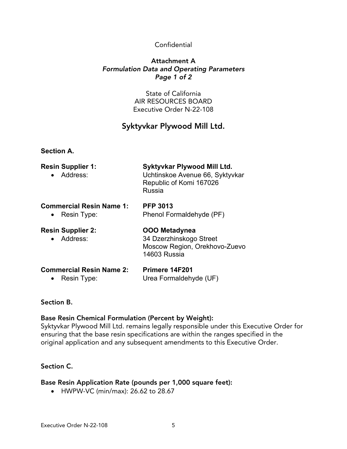# Confidential

#### Attachment A *Formulation Data and Operating Parameters Page 1 of 2*

State of California AIR RESOURCES BOARD Executive Order N-22-108

# Syktyvkar Plywood Mill Ltd.

#### **Section A.**

| <b>Resin Supplier 1:</b><br>• Address:                      | Syktyvkar Plywood Mill Ltd.<br>Uchtinskoe Avenue 66, Syktyvkar<br>Republic of Komi 167026<br>Russia |  |
|-------------------------------------------------------------|-----------------------------------------------------------------------------------------------------|--|
| <b>Commercial Resin Name 1:</b><br>Resin Type:<br>$\bullet$ | <b>PFP 3013</b><br>Phenol Formaldehyde (PF)                                                         |  |
| <b>Resin Supplier 2:</b><br>Address:                        | <b>OOO Metadynea</b><br>34 Dzerzhinskogo Street<br>Moscow Region, Orekhovo-Zuevo<br>14603 Russia    |  |
|                                                             |                                                                                                     |  |

# **Commercial Resin Name 2: Primere 14F201**

• Resin Type: Urea Formaldehyde (UF)

# Section B.

# Base Resin Chemical Formulation (Percent by Weight):

Syktyvkar Plywood Mill Ltd. remains legally responsible under this Executive Order for ensuring that the base resin specifications are within the ranges specified in the original application and any subsequent amendments to this Executive Order.

# Section C.

# Base Resin Application Rate (pounds per 1,000 square feet):

• HWPW-VC (min/max): 26.62 to 28.67